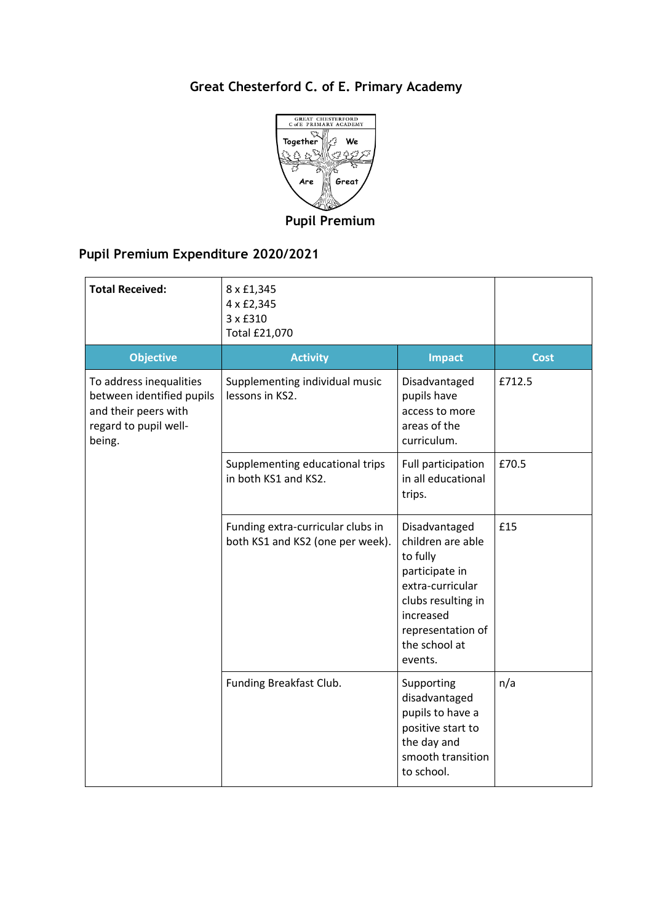## **Great Chesterford C. of E. Primary Academy**



**Pupil Premium** 

## **Pupil Premium Expenditure 2020/2021**

| <b>Total Received:</b>                                                                                          | 8 x £1,345<br>4 x £2,345<br>3 x £310<br><b>Total £21,070</b>          |                                                                                                                                                                          |             |
|-----------------------------------------------------------------------------------------------------------------|-----------------------------------------------------------------------|--------------------------------------------------------------------------------------------------------------------------------------------------------------------------|-------------|
| <b>Objective</b>                                                                                                | <b>Activity</b>                                                       | <b>Impact</b>                                                                                                                                                            | <b>Cost</b> |
| To address inequalities<br>between identified pupils<br>and their peers with<br>regard to pupil well-<br>being. | Supplementing individual music<br>lessons in KS2.                     | Disadvantaged<br>pupils have<br>access to more<br>areas of the<br>curriculum.                                                                                            | £712.5      |
|                                                                                                                 | Supplementing educational trips<br>in both KS1 and KS2.               | Full participation<br>in all educational<br>trips.                                                                                                                       | £70.5       |
|                                                                                                                 | Funding extra-curricular clubs in<br>both KS1 and KS2 (one per week). | Disadvantaged<br>children are able<br>to fully<br>participate in<br>extra-curricular<br>clubs resulting in<br>increased<br>representation of<br>the school at<br>events. | £15         |
|                                                                                                                 | Funding Breakfast Club.                                               | Supporting<br>disadvantaged<br>pupils to have a<br>positive start to<br>the day and<br>smooth transition<br>to school.                                                   | n/a         |